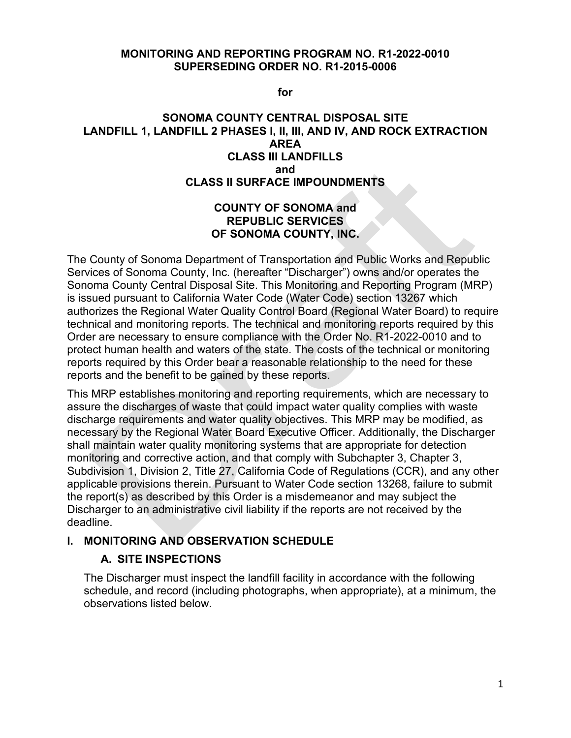#### **MONITORING AND REPORTING PROGRAM NO. R1-2022-0010 SUPERSEDING ORDER NO. R1-2015-0006**

**for**

#### **SONOMA COUNTY CENTRAL DISPOSAL SITE LANDFILL 1, LANDFILL 2 PHASES I, II, III, AND IV, AND ROCK EXTRACTION AREA CLASS III LANDFILLS and CLASS II SURFACE IMPOUNDMENTS**

### **COUNTY OF SONOMA and REPUBLIC SERVICES OF SONOMA COUNTY, INC.**

The County of Sonoma Department of Transportation and Public Works and Republic Services of Sonoma County, Inc. (hereafter "Discharger") owns and/or operates the Sonoma County Central Disposal Site. This Monitoring and Reporting Program (MRP) is issued pursuant to California Water Code (Water Code) section 13267 which authorizes the Regional Water Quality Control Board (Regional Water Board) to require technical and monitoring reports. The technical and monitoring reports required by this Order are necessary to ensure compliance with the Order No. R1-2022-0010 and to protect human health and waters of the state. The costs of the technical or monitoring reports required by this Order bear a reasonable relationship to the need for these reports and the benefit to be gained by these reports.

This MRP establishes monitoring and reporting requirements, which are necessary to assure the discharges of waste that could impact water quality complies with waste discharge requirements and water quality objectives. This MRP may be modified, as necessary by the Regional Water Board Executive Officer. Additionally, the Discharger shall maintain water quality monitoring systems that are appropriate for detection monitoring and corrective action, and that comply with Subchapter 3, Chapter 3, Subdivision 1, Division 2, Title 27, California Code of Regulations (CCR), and any other applicable provisions therein. Pursuant to Water Code section 13268, failure to submit the report(s) as described by this Order is a misdemeanor and may subject the Discharger to an administrative civil liability if the reports are not received by the deadline.

### **I. MONITORING AND OBSERVATION SCHEDULE**

### **A. SITE INSPECTIONS**

The Discharger must inspect the landfill facility in accordance with the following schedule, and record (including photographs, when appropriate), at a minimum, the observations listed below.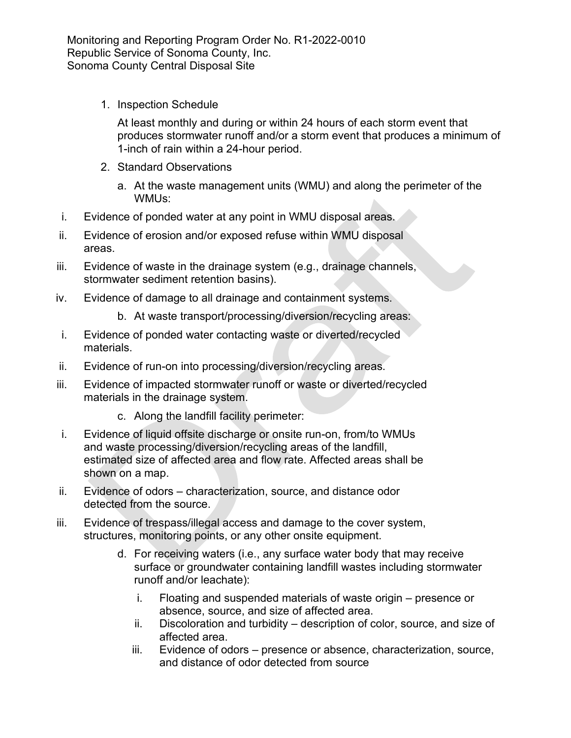1. Inspection Schedule

At least monthly and during or within 24 hours of each storm event that produces stormwater runoff and/or a storm event that produces a minimum of 1-inch of rain within a 24-hour period.

- 2. Standard Observations
	- a. At the waste management units (WMU) and along the perimeter of the WMUs:
- i. Evidence of ponded water at any point in WMU disposal areas.
- ii. Evidence of erosion and/or exposed refuse within WMU disposal areas.
- iii. Evidence of waste in the drainage system (e.g., drainage channels, stormwater sediment retention basins).
- iv. Evidence of damage to all drainage and containment systems.
	- b. At waste transport/processing/diversion/recycling areas:
- i. Evidence of ponded water contacting waste or diverted/recycled materials.
- ii. Evidence of run-on into processing/diversion/recycling areas.
- iii. Evidence of impacted stormwater runoff or waste or diverted/recycled materials in the drainage system.
	- c. Along the landfill facility perimeter:
- i. Evidence of liquid offsite discharge or onsite run-on, from/to WMUs and waste processing/diversion/recycling areas of the landfill, estimated size of affected area and flow rate. Affected areas shall be shown on a map.
- ii. Evidence of odors characterization, source, and distance odor detected from the source.
- iii. Evidence of trespass/illegal access and damage to the cover system, structures, monitoring points, or any other onsite equipment.
	- d. For receiving waters (i.e., any surface water body that may receive surface or groundwater containing landfill wastes including stormwater runoff and/or leachate):
		- i. Floating and suspended materials of waste origin presence or absence, source, and size of affected area.
		- ii. Discoloration and turbidity description of color, source, and size of affected area.
		- iii. Evidence of odors presence or absence, characterization, source, and distance of odor detected from source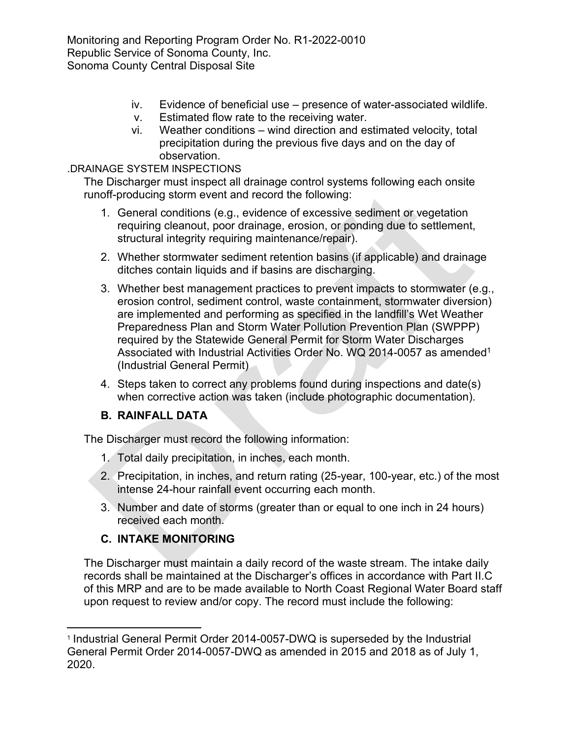- iv. Evidence of beneficial use presence of water-associated wildlife.
- v. Estimated flow rate to the receiving water.
- vi. Weather conditions wind direction and estimated velocity, total precipitation during the previous five days and on the day of observation.

## .DRAINAGE SYSTEM INSPECTIONS

The Discharger must inspect all drainage control systems following each onsite runoff-producing storm event and record the following:

- 1. General conditions (e.g., evidence of excessive sediment or vegetation requiring cleanout, poor drainage, erosion, or ponding due to settlement, structural integrity requiring maintenance/repair).
- 2. Whether stormwater sediment retention basins (if applicable) and drainage ditches contain liquids and if basins are discharging.
- 3. Whether best management practices to prevent impacts to stormwater (e.g., erosion control, sediment control, waste containment, stormwater diversion) are implemented and performing as specified in the landfill's Wet Weather Preparedness Plan and Storm Water Pollution Prevention Plan (SWPPP) required by the Statewide General Permit for Storm Water Discharges Associated with Industrial Activities Order No. WQ 20[1](#page-2-0)4-0057 as amended<sup>1</sup> (Industrial General Permit)
- 4. Steps taken to correct any problems found during inspections and date(s) when corrective action was taken (include photographic documentation).

# **B. RAINFALL DATA**

The Discharger must record the following information:

- 1. Total daily precipitation, in inches, each month.
- 2. Precipitation, in inches, and return rating (25-year, 100-year, etc.) of the most intense 24-hour rainfall event occurring each month.
- 3. Number and date of storms (greater than or equal to one inch in 24 hours) received each month.

# **C. INTAKE MONITORING**

The Discharger must maintain a daily record of the waste stream. The intake daily records shall be maintained at the Discharger's offices in accordance with Part II.C of this MRP and are to be made available to North Coast Regional Water Board staff upon request to review and/or copy. The record must include the following:

<span id="page-2-0"></span><sup>1</sup> Industrial General Permit Order 2014-0057-DWQ is superseded by the Industrial General Permit Order 2014-0057-DWQ as amended in 2015 and 2018 as of July 1, 2020.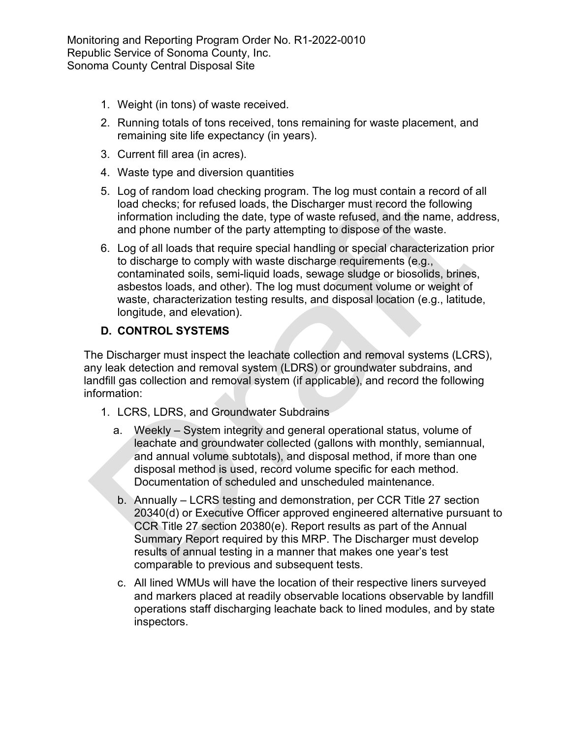- 1. Weight (in tons) of waste received.
- 2. Running totals of tons received, tons remaining for waste placement, and remaining site life expectancy (in years).
- 3. Current fill area (in acres).
- 4. Waste type and diversion quantities
- 5. Log of random load checking program. The log must contain a record of all load checks; for refused loads, the Discharger must record the following information including the date, type of waste refused, and the name, address, and phone number of the party attempting to dispose of the waste.
- 6. Log of all loads that require special handling or special characterization prior to discharge to comply with waste discharge requirements (e.g., contaminated soils, semi-liquid loads, sewage sludge or biosolids, brines, asbestos loads, and other). The log must document volume or weight of waste, characterization testing results, and disposal location (e.g., latitude, longitude, and elevation).

# **D. CONTROL SYSTEMS**

The Discharger must inspect the leachate collection and removal systems (LCRS), any leak detection and removal system (LDRS) or groundwater subdrains, and landfill gas collection and removal system (if applicable), and record the following information:

- 1. LCRS, LDRS, and Groundwater Subdrains
	- a. Weekly System integrity and general operational status, volume of leachate and groundwater collected (gallons with monthly, semiannual, and annual volume subtotals), and disposal method, if more than one disposal method is used, record volume specific for each method. Documentation of scheduled and unscheduled maintenance.
	- b. Annually LCRS testing and demonstration, per CCR Title 27 section 20340(d) or Executive Officer approved engineered alternative pursuant to CCR Title 27 section 20380(e). Report results as part of the Annual Summary Report required by this MRP. The Discharger must develop results of annual testing in a manner that makes one year's test comparable to previous and subsequent tests.
	- c. All lined WMUs will have the location of their respective liners surveyed and markers placed at readily observable locations observable by landfill operations staff discharging leachate back to lined modules, and by state inspectors.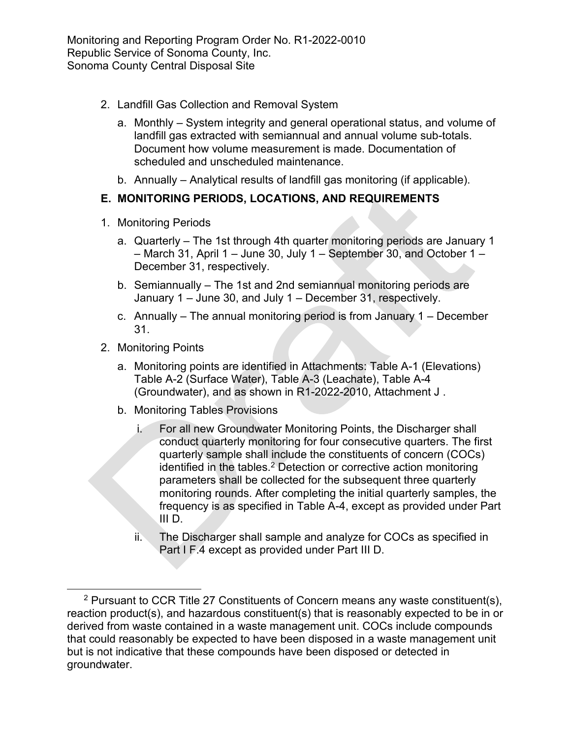- 2. Landfill Gas Collection and Removal System
	- a. Monthly System integrity and general operational status, and volume of landfill gas extracted with semiannual and annual volume sub-totals. Document how volume measurement is made. Documentation of scheduled and unscheduled maintenance.
	- b. Annually Analytical results of landfill gas monitoring (if applicable).

# **E. MONITORING PERIODS, LOCATIONS, AND REQUIREMENTS**

- 1. Monitoring Periods
	- a. Quarterly The 1st through 4th quarter monitoring periods are January 1 – March 31, April 1 – June 30, July 1 – September 30, and October 1 – December 31, respectively.
	- b. Semiannually The 1st and 2nd semiannual monitoring periods are January 1 – June 30, and July 1 – December 31, respectively.
	- c. Annually The annual monitoring period is from January 1 December 31.
- 2. Monitoring Points
	- a. Monitoring points are identified in Attachments: Table A-1 (Elevations) Table A-2 (Surface Water), Table A-3 (Leachate), Table A-4 (Groundwater), and as shown in R1-2022-2010, Attachment J .
	- b. Monitoring Tables Provisions
		- i. For all new Groundwater Monitoring Points, the Discharger shall conduct quarterly monitoring for four consecutive quarters. The first quarterly sample shall include the constituents of concern (COCs) identified in the tables.<sup>[2](#page-4-0)</sup> Detection or corrective action monitoring parameters shall be collected for the subsequent three quarterly monitoring rounds. After completing the initial quarterly samples, the frequency is as specified in Table A-4, except as provided under Part III D.
		- ii. The Discharger shall sample and analyze for COCs as specified in Part I F.4 except as provided under Part III D.

<span id="page-4-0"></span><sup>2</sup> Pursuant to CCR Title 27 Constituents of Concern means any waste constituent(s), reaction product(s), and hazardous constituent(s) that is reasonably expected to be in or derived from waste contained in a waste management unit. COCs include compounds that could reasonably be expected to have been disposed in a waste management unit but is not indicative that these compounds have been disposed or detected in groundwater.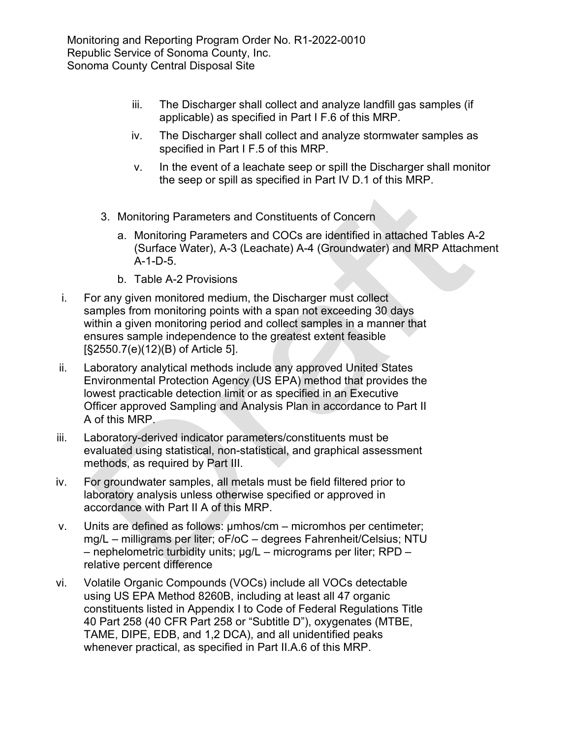- iii. The Discharger shall collect and analyze landfill gas samples (if applicable) as specified in Part I F.6 of this MRP.
- iv. The Discharger shall collect and analyze stormwater samples as specified in Part I F.5 of this MRP.
- v. In the event of a leachate seep or spill the Discharger shall monitor the seep or spill as specified in Part IV D.1 of this MRP.
- 3. Monitoring Parameters and Constituents of Concern
	- a. Monitoring Parameters and COCs are identified in attached Tables A-2 (Surface Water), A-3 (Leachate) A-4 (Groundwater) and MRP Attachment A-1-D-5.
	- b. Table A-2 Provisions
- i. For any given monitored medium, the Discharger must collect samples from monitoring points with a span not exceeding 30 days within a given monitoring period and collect samples in a manner that ensures sample independence to the greatest extent feasible [§2550.7(e)(12)(B) of Article 5].
- ii. Laboratory analytical methods include any approved United States Environmental Protection Agency (US EPA) method that provides the lowest practicable detection limit or as specified in an Executive Officer approved Sampling and Analysis Plan in accordance to Part II A of this MRP.
- iii. Laboratory-derived indicator parameters/constituents must be evaluated using statistical, non-statistical, and graphical assessment methods, as required by Part III.
- iv. For groundwater samples, all metals must be field filtered prior to laboratory analysis unless otherwise specified or approved in accordance with Part II A of this MRP.
- v. Units are defined as follows: µmhos/cm micromhos per centimeter; mg/L – milligrams per liter; oF/oC – degrees Fahrenheit/Celsius; NTU – nephelometric turbidity units; µg/L – micrograms per liter; RPD – relative percent difference
- vi. Volatile Organic Compounds (VOCs) include all VOCs detectable using US EPA Method 8260B, including at least all 47 organic constituents listed in Appendix I to Code of Federal Regulations Title 40 Part 258 (40 CFR Part 258 or "Subtitle D"), oxygenates (MTBE, TAME, DIPE, EDB, and 1,2 DCA), and all unidentified peaks whenever practical, as specified in Part II.A.6 of this MRP.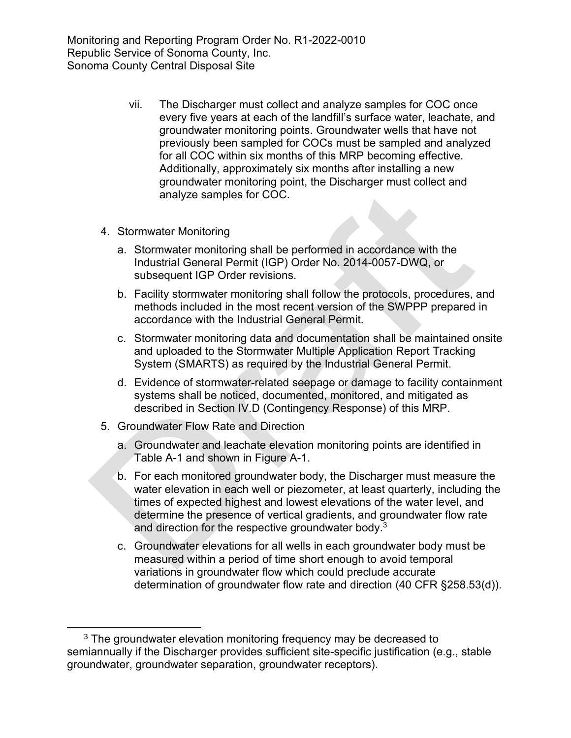- vii. The Discharger must collect and analyze samples for COC once every five years at each of the landfill's surface water, leachate, and groundwater monitoring points. Groundwater wells that have not previously been sampled for COCs must be sampled and analyzed for all COC within six months of this MRP becoming effective. Additionally, approximately six months after installing a new groundwater monitoring point, the Discharger must collect and analyze samples for COC.
- 4. Stormwater Monitoring
	- a. Stormwater monitoring shall be performed in accordance with the Industrial General Permit (IGP) Order No. 2014-0057-DWQ, or subsequent IGP Order revisions.
	- b. Facility stormwater monitoring shall follow the protocols, procedures, and methods included in the most recent version of the SWPPP prepared in accordance with the Industrial General Permit.
	- c. Stormwater monitoring data and documentation shall be maintained onsite and uploaded to the Stormwater Multiple Application Report Tracking System (SMARTS) as required by the Industrial General Permit.
	- d. Evidence of stormwater-related seepage or damage to facility containment systems shall be noticed, documented, monitored, and mitigated as described in Section IV.D (Contingency Response) of this MRP.
- 5. Groundwater Flow Rate and Direction
	- a. Groundwater and leachate elevation monitoring points are identified in Table A-1 and shown in Figure A-1.
	- b. For each monitored groundwater body, the Discharger must measure the water elevation in each well or piezometer, at least quarterly, including the times of expected highest and lowest elevations of the water level, and determine the presence of vertical gradients, and groundwater flow rate and direction for the respective groundwater body.<sup>[3](#page-6-0)</sup>
	- c. Groundwater elevations for all wells in each groundwater body must be measured within a period of time short enough to avoid temporal variations in groundwater flow which could preclude accurate determination of groundwater flow rate and direction (40 CFR §258.53(d)).

<span id="page-6-0"></span> $3$  The groundwater elevation monitoring frequency may be decreased to semiannually if the Discharger provides sufficient site-specific justification (e.g., stable groundwater, groundwater separation, groundwater receptors).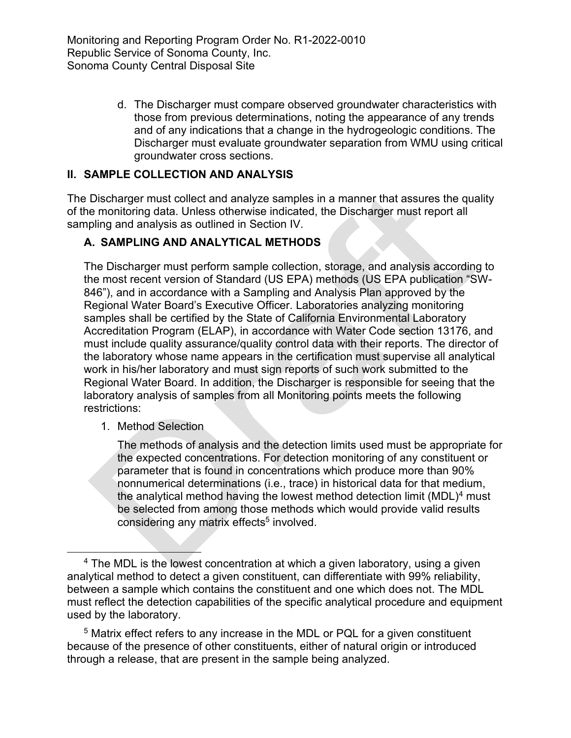> d. The Discharger must compare observed groundwater characteristics with those from previous determinations, noting the appearance of any trends and of any indications that a change in the hydrogeologic conditions. The Discharger must evaluate groundwater separation from WMU using critical groundwater cross sections.

# **II. SAMPLE COLLECTION AND ANALYSIS**

The Discharger must collect and analyze samples in a manner that assures the quality of the monitoring data. Unless otherwise indicated, the Discharger must report all sampling and analysis as outlined in Section IV.

# **A. SAMPLING AND ANALYTICAL METHODS**

The Discharger must perform sample collection, storage, and analysis according to the most recent version of Standard (US EPA) methods (US EPA publication "SW-846"), and in accordance with a Sampling and Analysis Plan approved by the Regional Water Board's Executive Officer. Laboratories analyzing monitoring samples shall be certified by the State of California Environmental Laboratory Accreditation Program (ELAP), in accordance with Water Code section 13176, and must include quality assurance/quality control data with their reports. The director of the laboratory whose name appears in the certification must supervise all analytical work in his/her laboratory and must sign reports of such work submitted to the Regional Water Board. In addition, the Discharger is responsible for seeing that the laboratory analysis of samples from all Monitoring points meets the following restrictions:

1. Method Selection

The methods of analysis and the detection limits used must be appropriate for the expected concentrations. For detection monitoring of any constituent or parameter that is found in concentrations which produce more than 90% nonnumerical determinations (i.e., trace) in historical data for that medium, the analytical method having the lowest method detection limit  $(MDL)^4$  $(MDL)^4$  must be selected from among those methods which would provide valid results considering any matrix effects<sup>[5](#page-7-1)</sup> involved.

<span id="page-7-1"></span><sup>5</sup> Matrix effect refers to any increase in the MDL or PQL for a given constituent because of the presence of other constituents, either of natural origin or introduced through a release, that are present in the sample being analyzed.

<span id="page-7-0"></span> $4$  The MDL is the lowest concentration at which a given laboratory, using a given analytical method to detect a given constituent, can differentiate with 99% reliability, between a sample which contains the constituent and one which does not. The MDL must reflect the detection capabilities of the specific analytical procedure and equipment used by the laboratory.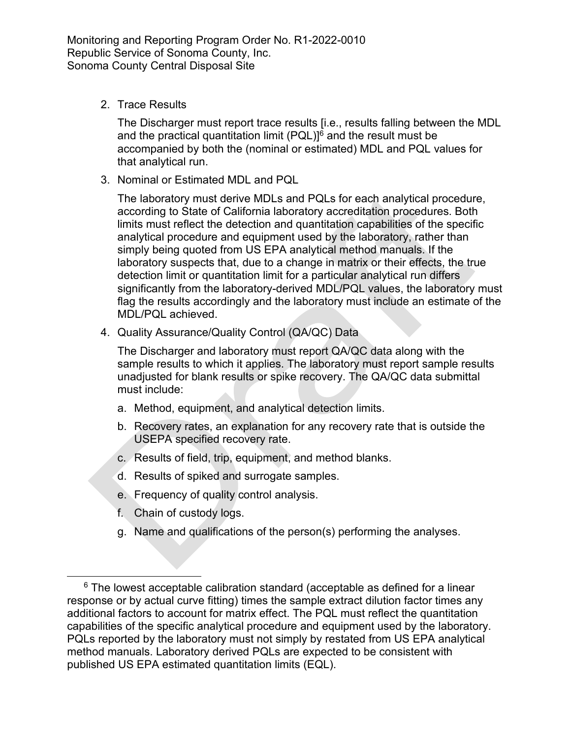2. Trace Results

The Discharger must report trace results [i.e., results falling between the MDL and the practical quantitation limit  $(PQL)$ <sup>[6](#page-8-0)</sup> and the result must be accompanied by both the (nominal or estimated) MDL and PQL values for that analytical run.

3. Nominal or Estimated MDL and PQL

The laboratory must derive MDLs and PQLs for each analytical procedure, according to State of California laboratory accreditation procedures. Both limits must reflect the detection and quantitation capabilities of the specific analytical procedure and equipment used by the laboratory, rather than simply being quoted from US EPA analytical method manuals. If the laboratory suspects that, due to a change in matrix or their effects, the true detection limit or quantitation limit for a particular analytical run differs significantly from the laboratory-derived MDL/PQL values, the laboratory must flag the results accordingly and the laboratory must include an estimate of the MDL/PQL achieved.

4. Quality Assurance/Quality Control (QA/QC) Data

The Discharger and laboratory must report QA/QC data along with the sample results to which it applies. The laboratory must report sample results unadjusted for blank results or spike recovery. The QA/QC data submittal must include:

- a. Method, equipment, and analytical detection limits.
- b. Recovery rates, an explanation for any recovery rate that is outside the USEPA specified recovery rate.
- c. Results of field, trip, equipment, and method blanks.
- d. Results of spiked and surrogate samples.
- e. Frequency of quality control analysis.
- f. Chain of custody logs.
- g. Name and qualifications of the person(s) performing the analyses.

<span id="page-8-0"></span> $6$  The lowest acceptable calibration standard (acceptable as defined for a linear response or by actual curve fitting) times the sample extract dilution factor times any additional factors to account for matrix effect. The PQL must reflect the quantitation capabilities of the specific analytical procedure and equipment used by the laboratory. PQLs reported by the laboratory must not simply by restated from US EPA analytical method manuals. Laboratory derived PQLs are expected to be consistent with published US EPA estimated quantitation limits (EQL).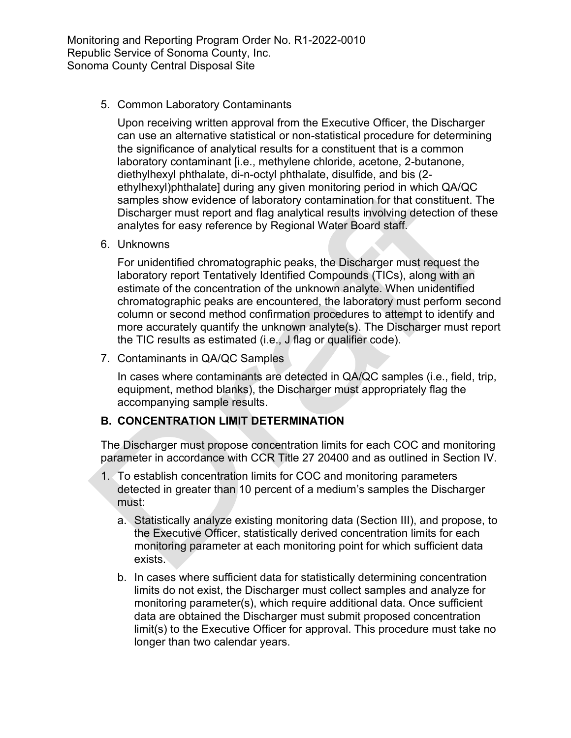5. Common Laboratory Contaminants

Upon receiving written approval from the Executive Officer, the Discharger can use an alternative statistical or non-statistical procedure for determining the significance of analytical results for a constituent that is a common laboratory contaminant [i.e., methylene chloride, acetone, 2-butanone, diethylhexyl phthalate, di-n-octyl phthalate, disulfide, and bis (2 ethylhexyl)phthalate] during any given monitoring period in which QA/QC samples show evidence of laboratory contamination for that constituent. The Discharger must report and flag analytical results involving detection of these analytes for easy reference by Regional Water Board staff.

6. Unknowns

For unidentified chromatographic peaks, the Discharger must request the laboratory report Tentatively Identified Compounds (TICs), along with an estimate of the concentration of the unknown analyte. When unidentified chromatographic peaks are encountered, the laboratory must perform second column or second method confirmation procedures to attempt to identify and more accurately quantify the unknown analyte(s). The Discharger must report the TIC results as estimated (i.e., J flag or qualifier code).

7. Contaminants in QA/QC Samples

In cases where contaminants are detected in QA/QC samples (i.e., field, trip, equipment, method blanks), the Discharger must appropriately flag the accompanying sample results.

### **B. CONCENTRATION LIMIT DETERMINATION**

The Discharger must propose concentration limits for each COC and monitoring parameter in accordance with CCR Title 27 20400 and as outlined in Section IV.

- 1. To establish concentration limits for COC and monitoring parameters detected in greater than 10 percent of a medium's samples the Discharger must:
	- a. Statistically analyze existing monitoring data (Section III), and propose, to the Executive Officer, statistically derived concentration limits for each monitoring parameter at each monitoring point for which sufficient data exists.
	- b. In cases where sufficient data for statistically determining concentration limits do not exist, the Discharger must collect samples and analyze for monitoring parameter(s), which require additional data. Once sufficient data are obtained the Discharger must submit proposed concentration limit(s) to the Executive Officer for approval. This procedure must take no longer than two calendar years.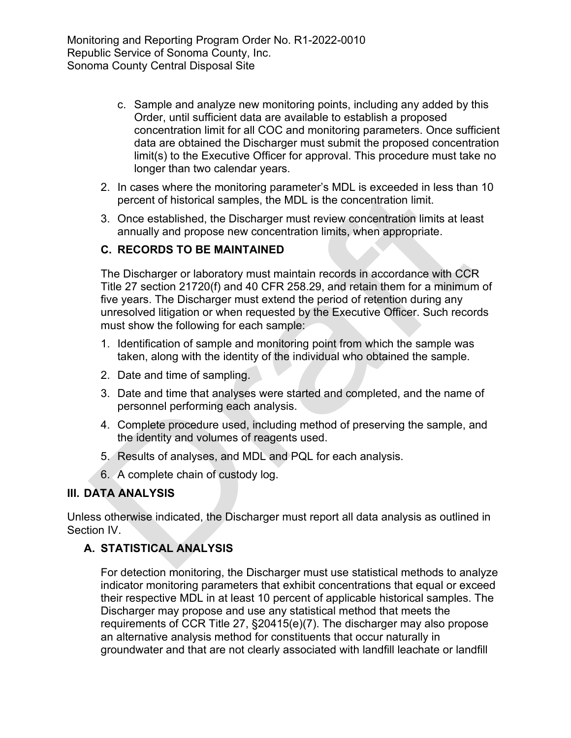- c. Sample and analyze new monitoring points, including any added by this Order, until sufficient data are available to establish a proposed concentration limit for all COC and monitoring parameters. Once sufficient data are obtained the Discharger must submit the proposed concentration limit(s) to the Executive Officer for approval. This procedure must take no longer than two calendar years.
- 2. In cases where the monitoring parameter's MDL is exceeded in less than 10 percent of historical samples, the MDL is the concentration limit.
- 3. Once established, the Discharger must review concentration limits at least annually and propose new concentration limits, when appropriate.

### **C. RECORDS TO BE MAINTAINED**

The Discharger or laboratory must maintain records in accordance with CCR Title 27 section 21720(f) and 40 CFR 258.29, and retain them for a minimum of five years. The Discharger must extend the period of retention during any unresolved litigation or when requested by the Executive Officer. Such records must show the following for each sample:

- 1. Identification of sample and monitoring point from which the sample was taken, along with the identity of the individual who obtained the sample.
- 2. Date and time of sampling.
- 3. Date and time that analyses were started and completed, and the name of personnel performing each analysis.
- 4. Complete procedure used, including method of preserving the sample, and the identity and volumes of reagents used.
- 5. Results of analyses, and MDL and PQL for each analysis.
- 6. A complete chain of custody log.

# **III. DATA ANALYSIS**

Unless otherwise indicated, the Discharger must report all data analysis as outlined in Section IV.

# **A. STATISTICAL ANALYSIS**

For detection monitoring, the Discharger must use statistical methods to analyze indicator monitoring parameters that exhibit concentrations that equal or exceed their respective MDL in at least 10 percent of applicable historical samples. The Discharger may propose and use any statistical method that meets the requirements of CCR Title 27, §20415(e)(7). The discharger may also propose an alternative analysis method for constituents that occur naturally in groundwater and that are not clearly associated with landfill leachate or landfill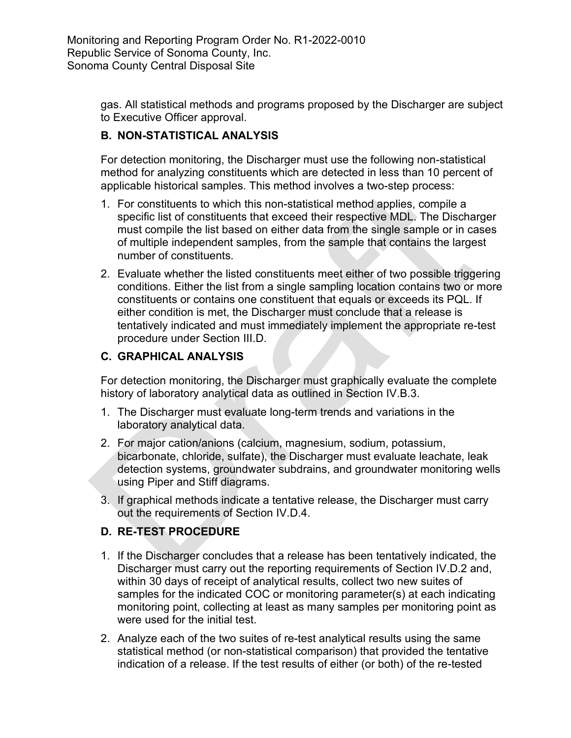> gas. All statistical methods and programs proposed by the Discharger are subject to Executive Officer approval.

# **B. NON-STATISTICAL ANALYSIS**

For detection monitoring, the Discharger must use the following non-statistical method for analyzing constituents which are detected in less than 10 percent of applicable historical samples. This method involves a two-step process:

- 1. For constituents to which this non-statistical method applies, compile a specific list of constituents that exceed their respective MDL. The Discharger must compile the list based on either data from the single sample or in cases of multiple independent samples, from the sample that contains the largest number of constituents.
- 2. Evaluate whether the listed constituents meet either of two possible triggering conditions. Either the list from a single sampling location contains two or more constituents or contains one constituent that equals or exceeds its PQL. If either condition is met, the Discharger must conclude that a release is tentatively indicated and must immediately implement the appropriate re-test procedure under Section III.D.

# **C. GRAPHICAL ANALYSIS**

For detection monitoring, the Discharger must graphically evaluate the complete history of laboratory analytical data as outlined in Section IV.B.3.

- 1. The Discharger must evaluate long-term trends and variations in the laboratory analytical data.
- 2. For major cation/anions (calcium, magnesium, sodium, potassium, bicarbonate, chloride, sulfate), the Discharger must evaluate leachate, leak detection systems, groundwater subdrains, and groundwater monitoring wells using Piper and Stiff diagrams.
- 3. If graphical methods indicate a tentative release, the Discharger must carry out the requirements of Section IV.D.4.

# **D. RE-TEST PROCEDURE**

- 1. If the Discharger concludes that a release has been tentatively indicated, the Discharger must carry out the reporting requirements of Section IV.D.2 and, within 30 days of receipt of analytical results, collect two new suites of samples for the indicated COC or monitoring parameter(s) at each indicating monitoring point, collecting at least as many samples per monitoring point as were used for the initial test.
- 2. Analyze each of the two suites of re-test analytical results using the same statistical method (or non-statistical comparison) that provided the tentative indication of a release. If the test results of either (or both) of the re-tested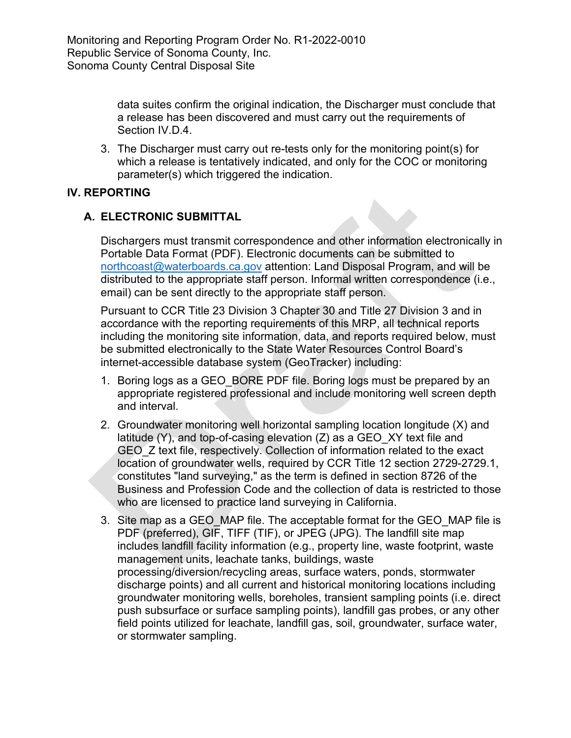data suites confirm the original indication, the Discharger must conclude that a release has been discovered and must carry out the requirements of Section IV.D.4.

3. The Discharger must carry out re-tests only for the monitoring point(s) for which a release is tentatively indicated, and only for the COC or monitoring parameter(s) which triggered the indication.

# **IV. REPORTING**

# **A. ELECTRONIC SUBMITTAL**

Dischargers must transmit correspondence and other information electronically in Portable Data Format (PDF). Electronic documents can be submitted to [northcoast@waterboards.ca.gov](mailto:northcoast@waterboards.ca.gov) attention: Land Disposal Program, and will be distributed to the appropriate staff person. Informal written correspondence (i.e., email) can be sent directly to the appropriate staff person.

Pursuant to CCR Title 23 Division 3 Chapter 30 and Title 27 Division 3 and in accordance with the reporting requirements of this MRP, all technical reports including the monitoring site information, data, and reports required below, must be submitted electronically to the State Water Resources Control Board's internet-accessible database system (GeoTracker) including:

- 1. Boring logs as a GEO\_BORE PDF file. Boring logs must be prepared by an appropriate registered professional and include monitoring well screen depth and interval.
- 2. Groundwater monitoring well horizontal sampling location longitude (X) and latitude (Y), and top-of-casing elevation (Z) as a GEO\_XY text file and GEO Z text file, respectively. Collection of information related to the exact location of groundwater wells, required by CCR Title 12 section 2729-2729.1, constitutes "land surveying," as the term is defined in section 8726 of the Business and Profession Code and the collection of data is restricted to those who are licensed to practice land surveying in California.
- 3. Site map as a GEO MAP file. The acceptable format for the GEO MAP file is PDF (preferred), GIF, TIFF (TIF), or JPEG (JPG). The landfill site map includes landfill facility information (e.g., property line, waste footprint, waste management units, leachate tanks, buildings, waste processing/diversion/recycling areas, surface waters, ponds, stormwater discharge points) and all current and historical monitoring locations including groundwater monitoring wells, boreholes, transient sampling points (i.e. direct push subsurface or surface sampling points), landfill gas probes, or any other field points utilized for leachate, landfill gas, soil, groundwater, surface water, or stormwater sampling.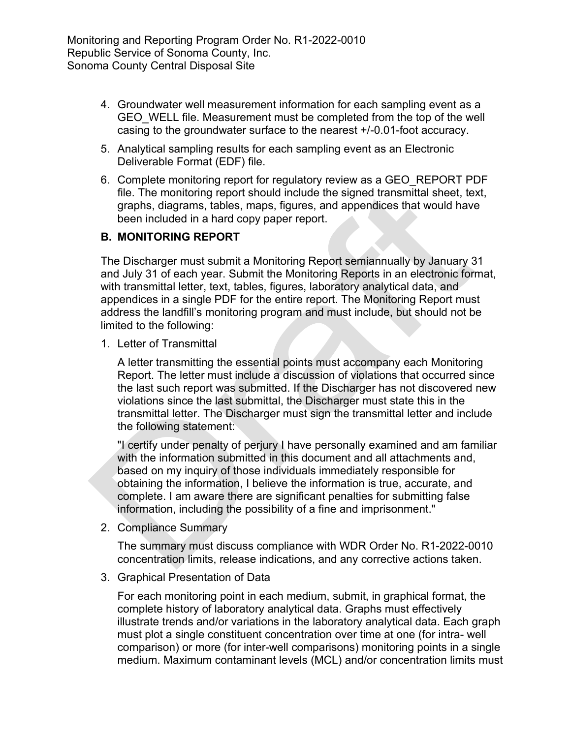- 4. Groundwater well measurement information for each sampling event as a GEO WELL file. Measurement must be completed from the top of the well casing to the groundwater surface to the nearest +/-0.01-foot accuracy.
- 5. Analytical sampling results for each sampling event as an Electronic Deliverable Format (EDF) file.
- 6. Complete monitoring report for regulatory review as a GEO\_REPORT PDF file. The monitoring report should include the signed transmittal sheet, text, graphs, diagrams, tables, maps, figures, and appendices that would have been included in a hard copy paper report.

### **B. MONITORING REPORT**

The Discharger must submit a Monitoring Report semiannually by January 31 and July 31 of each year. Submit the Monitoring Reports in an electronic format, with transmittal letter, text, tables, figures, laboratory analytical data, and appendices in a single PDF for the entire report. The Monitoring Report must address the landfill's monitoring program and must include, but should not be limited to the following:

1. Letter of Transmittal

A letter transmitting the essential points must accompany each Monitoring Report. The letter must include a discussion of violations that occurred since the last such report was submitted. If the Discharger has not discovered new violations since the last submittal, the Discharger must state this in the transmittal letter. The Discharger must sign the transmittal letter and include the following statement:

"I certify under penalty of perjury I have personally examined and am familiar with the information submitted in this document and all attachments and, based on my inquiry of those individuals immediately responsible for obtaining the information, I believe the information is true, accurate, and complete. I am aware there are significant penalties for submitting false information, including the possibility of a fine and imprisonment."

2. Compliance Summary

The summary must discuss compliance with WDR Order No. R1-2022-0010 concentration limits, release indications, and any corrective actions taken.

3. Graphical Presentation of Data

For each monitoring point in each medium, submit, in graphical format, the complete history of laboratory analytical data. Graphs must effectively illustrate trends and/or variations in the laboratory analytical data. Each graph must plot a single constituent concentration over time at one (for intra- well comparison) or more (for inter-well comparisons) monitoring points in a single medium. Maximum contaminant levels (MCL) and/or concentration limits must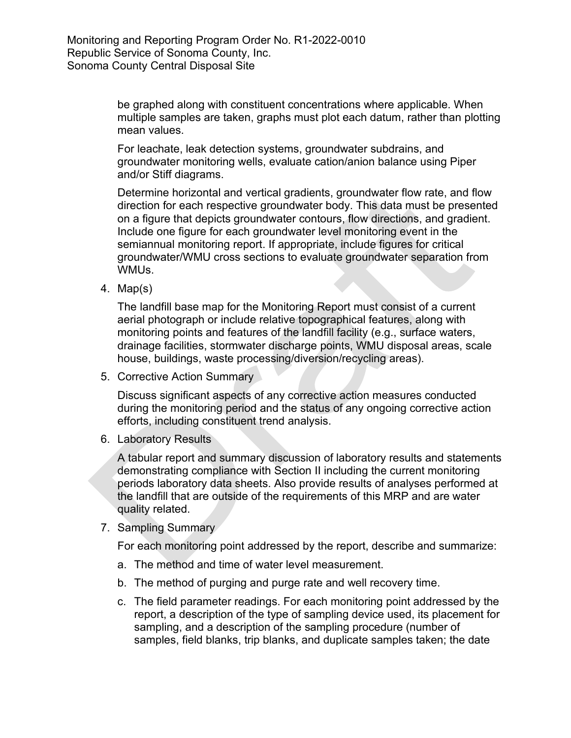be graphed along with constituent concentrations where applicable. When multiple samples are taken, graphs must plot each datum, rather than plotting mean values.

For leachate, leak detection systems, groundwater subdrains, and groundwater monitoring wells, evaluate cation/anion balance using Piper and/or Stiff diagrams.

Determine horizontal and vertical gradients, groundwater flow rate, and flow direction for each respective groundwater body. This data must be presented on a figure that depicts groundwater contours, flow directions, and gradient. Include one figure for each groundwater level monitoring event in the semiannual monitoring report. If appropriate, include figures for critical groundwater/WMU cross sections to evaluate groundwater separation from WMUs.

4. Map(s)

The landfill base map for the Monitoring Report must consist of a current aerial photograph or include relative topographical features, along with monitoring points and features of the landfill facility (e.g., surface waters, drainage facilities, stormwater discharge points, WMU disposal areas, scale house, buildings, waste processing/diversion/recycling areas).

5. Corrective Action Summary

Discuss significant aspects of any corrective action measures conducted during the monitoring period and the status of any ongoing corrective action efforts, including constituent trend analysis.

6. Laboratory Results

A tabular report and summary discussion of laboratory results and statements demonstrating compliance with Section II including the current monitoring periods laboratory data sheets. Also provide results of analyses performed at the landfill that are outside of the requirements of this MRP and are water quality related.

7. Sampling Summary

For each monitoring point addressed by the report, describe and summarize:

- a. The method and time of water level measurement.
- b. The method of purging and purge rate and well recovery time.
- c. The field parameter readings. For each monitoring point addressed by the report, a description of the type of sampling device used, its placement for sampling, and a description of the sampling procedure (number of samples, field blanks, trip blanks, and duplicate samples taken; the date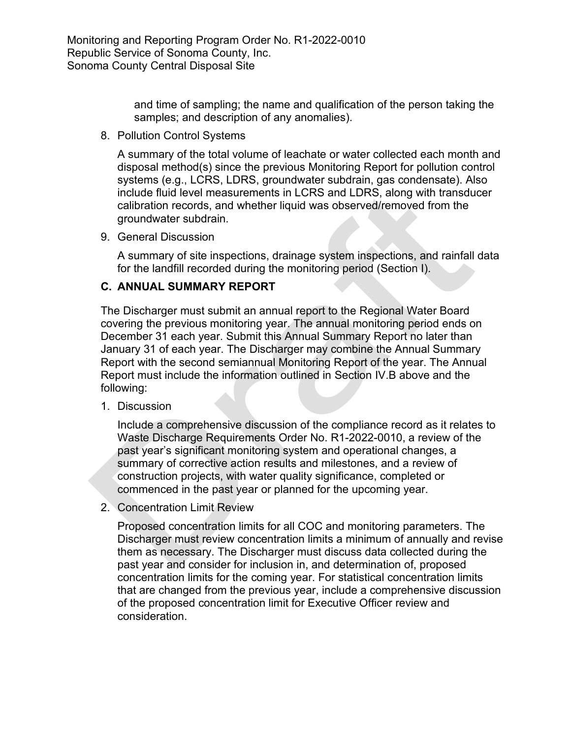> and time of sampling; the name and qualification of the person taking the samples; and description of any anomalies).

8. Pollution Control Systems

A summary of the total volume of leachate or water collected each month and disposal method(s) since the previous Monitoring Report for pollution control systems (e.g., LCRS, LDRS, groundwater subdrain, gas condensate). Also include fluid level measurements in LCRS and LDRS, along with transducer calibration records, and whether liquid was observed/removed from the groundwater subdrain.

9. General Discussion

A summary of site inspections, drainage system inspections, and rainfall data for the landfill recorded during the monitoring period (Section I).

### **C. ANNUAL SUMMARY REPORT**

The Discharger must submit an annual report to the Regional Water Board covering the previous monitoring year. The annual monitoring period ends on December 31 each year. Submit this Annual Summary Report no later than January 31 of each year. The Discharger may combine the Annual Summary Report with the second semiannual Monitoring Report of the year. The Annual Report must include the information outlined in Section IV.B above and the following:

1. Discussion

Include a comprehensive discussion of the compliance record as it relates to Waste Discharge Requirements Order No. R1-2022-0010, a review of the past year's significant monitoring system and operational changes, a summary of corrective action results and milestones, and a review of construction projects, with water quality significance, completed or commenced in the past year or planned for the upcoming year.

2. Concentration Limit Review

Proposed concentration limits for all COC and monitoring parameters. The Discharger must review concentration limits a minimum of annually and revise them as necessary. The Discharger must discuss data collected during the past year and consider for inclusion in, and determination of, proposed concentration limits for the coming year. For statistical concentration limits that are changed from the previous year, include a comprehensive discussion of the proposed concentration limit for Executive Officer review and consideration.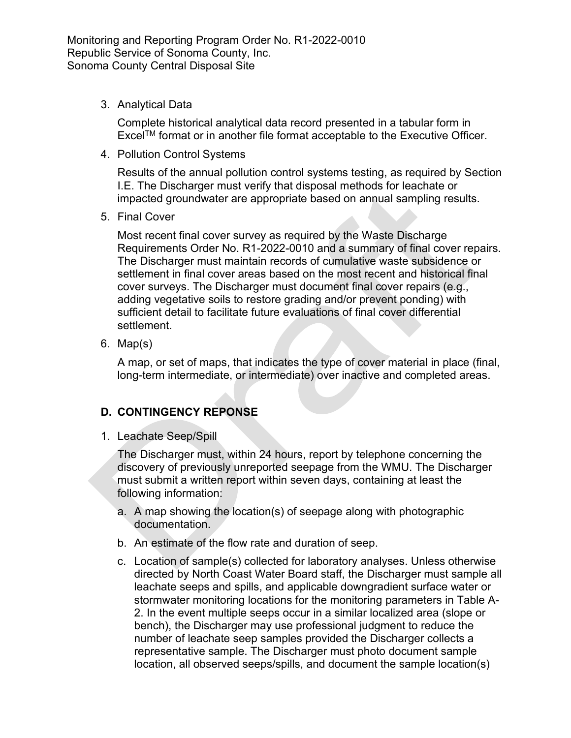3. Analytical Data

Complete historical analytical data record presented in a tabular form in ExcelTM format or in another file format acceptable to the Executive Officer.

4. Pollution Control Systems

Results of the annual pollution control systems testing, as required by Section I.E. The Discharger must verify that disposal methods for leachate or impacted groundwater are appropriate based on annual sampling results.

5. Final Cover

Most recent final cover survey as required by the Waste Discharge Requirements Order No. R1-2022-0010 and a summary of final cover repairs. The Discharger must maintain records of cumulative waste subsidence or settlement in final cover areas based on the most recent and historical final cover surveys. The Discharger must document final cover repairs (e.g., adding vegetative soils to restore grading and/or prevent ponding) with sufficient detail to facilitate future evaluations of final cover differential settlement.

6. Map(s)

A map, or set of maps, that indicates the type of cover material in place (final, long-term intermediate, or intermediate) over inactive and completed areas.

# **D. CONTINGENCY REPONSE**

1. Leachate Seep/Spill

The Discharger must, within 24 hours, report by telephone concerning the discovery of previously unreported seepage from the WMU. The Discharger must submit a written report within seven days, containing at least the following information:

- a. A map showing the location(s) of seepage along with photographic documentation.
- b. An estimate of the flow rate and duration of seep.
- c. Location of sample(s) collected for laboratory analyses. Unless otherwise directed by North Coast Water Board staff, the Discharger must sample all leachate seeps and spills, and applicable downgradient surface water or stormwater monitoring locations for the monitoring parameters in Table A-2. In the event multiple seeps occur in a similar localized area (slope or bench), the Discharger may use professional judgment to reduce the number of leachate seep samples provided the Discharger collects a representative sample. The Discharger must photo document sample location, all observed seeps/spills, and document the sample location(s)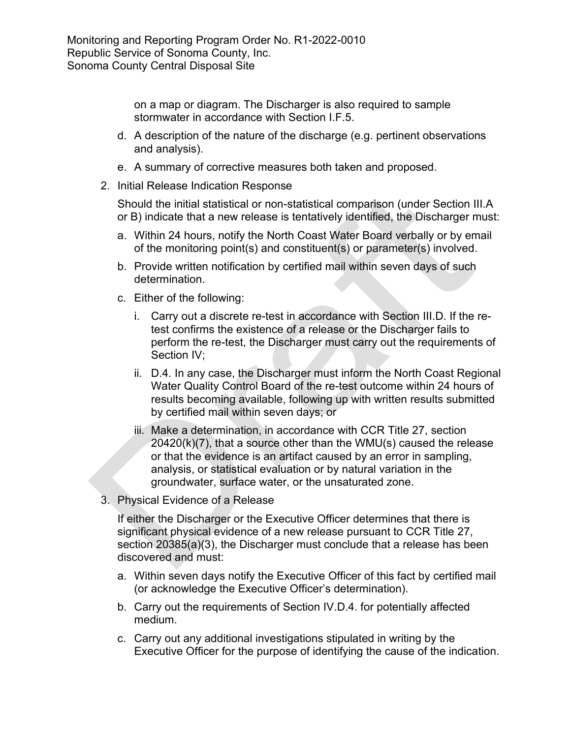on a map or diagram. The Discharger is also required to sample stormwater in accordance with Section I.F.5.

- d. A description of the nature of the discharge (e.g. pertinent observations and analysis).
- e. A summary of corrective measures both taken and proposed.
- 2. Initial Release Indication Response

Should the initial statistical or non-statistical comparison (under Section III.A or B) indicate that a new release is tentatively identified, the Discharger must:

- a. Within 24 hours, notify the North Coast Water Board verbally or by email of the monitoring point(s) and constituent(s) or parameter(s) involved.
- b. Provide written notification by certified mail within seven days of such determination.
- c. Either of the following:
	- i. Carry out a discrete re-test in accordance with Section III.D. If the retest confirms the existence of a release or the Discharger fails to perform the re-test, the Discharger must carry out the requirements of Section IV;
	- ii. D.4. In any case, the Discharger must inform the North Coast Regional Water Quality Control Board of the re-test outcome within 24 hours of results becoming available, following up with written results submitted by certified mail within seven days; or
	- iii. Make a determination, in accordance with CCR Title 27, section 20420(k)(7), that a source other than the WMU(s) caused the release or that the evidence is an artifact caused by an error in sampling, analysis, or statistical evaluation or by natural variation in the groundwater, surface water, or the unsaturated zone.
- 3. Physical Evidence of a Release

If either the Discharger or the Executive Officer determines that there is significant physical evidence of a new release pursuant to CCR Title 27, section 20385(a)(3), the Discharger must conclude that a release has been discovered and must:

- a. Within seven days notify the Executive Officer of this fact by certified mail (or acknowledge the Executive Officer's determination).
- b. Carry out the requirements of Section IV.D.4. for potentially affected medium.
- c. Carry out any additional investigations stipulated in writing by the Executive Officer for the purpose of identifying the cause of the indication.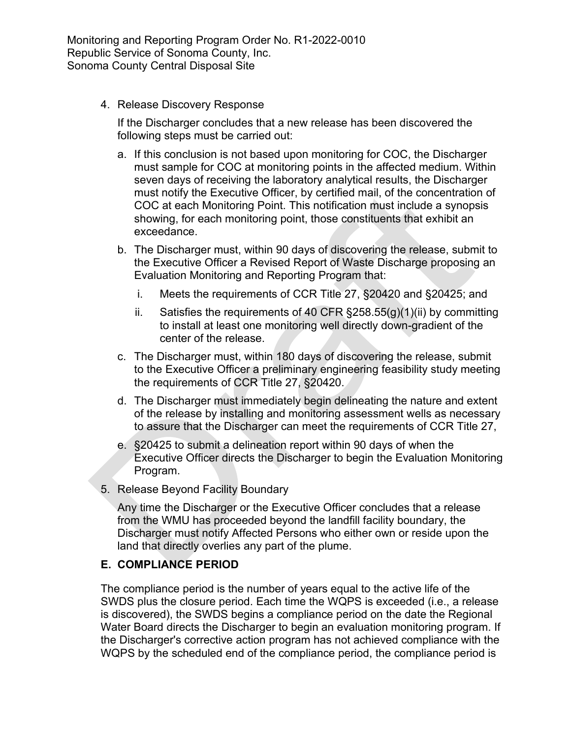4. Release Discovery Response

If the Discharger concludes that a new release has been discovered the following steps must be carried out:

- a. If this conclusion is not based upon monitoring for COC, the Discharger must sample for COC at monitoring points in the affected medium. Within seven days of receiving the laboratory analytical results, the Discharger must notify the Executive Officer, by certified mail, of the concentration of COC at each Monitoring Point. This notification must include a synopsis showing, for each monitoring point, those constituents that exhibit an exceedance.
- b. The Discharger must, within 90 days of discovering the release, submit to the Executive Officer a Revised Report of Waste Discharge proposing an Evaluation Monitoring and Reporting Program that:
	- i. Meets the requirements of CCR Title 27, §20420 and §20425; and
	- ii. Satisfies the requirements of 40 CFR  $\S 258.55(g)(1)(ii)$  by committing to install at least one monitoring well directly down-gradient of the center of the release.
- c. The Discharger must, within 180 days of discovering the release, submit to the Executive Officer a preliminary engineering feasibility study meeting the requirements of CCR Title 27, §20420.
- d. The Discharger must immediately begin delineating the nature and extent of the release by installing and monitoring assessment wells as necessary to assure that the Discharger can meet the requirements of CCR Title 27,
- e. §20425 to submit a delineation report within 90 days of when the Executive Officer directs the Discharger to begin the Evaluation Monitoring Program.
- 5. Release Beyond Facility Boundary

Any time the Discharger or the Executive Officer concludes that a release from the WMU has proceeded beyond the landfill facility boundary, the Discharger must notify Affected Persons who either own or reside upon the land that directly overlies any part of the plume.

### **E. COMPLIANCE PERIOD**

The compliance period is the number of years equal to the active life of the SWDS plus the closure period. Each time the WQPS is exceeded (i.e., a release is discovered), the SWDS begins a compliance period on the date the Regional Water Board directs the Discharger to begin an evaluation monitoring program. If the Discharger's corrective action program has not achieved compliance with the WQPS by the scheduled end of the compliance period, the compliance period is